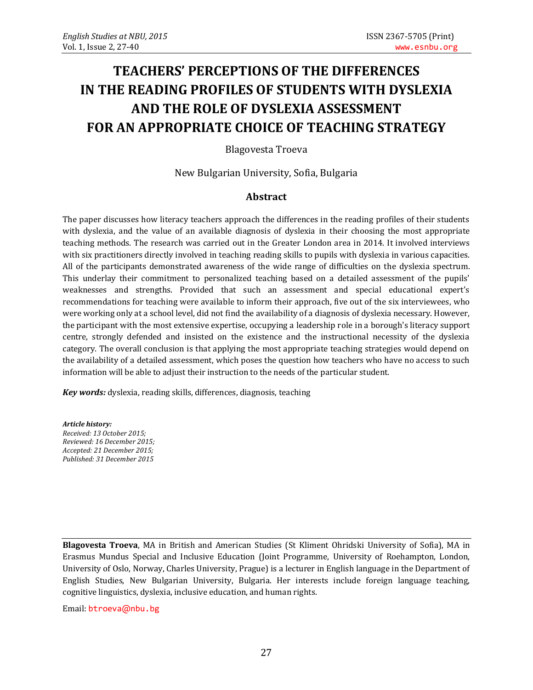# **TEACHERS' PERCEPTIONS OF THE DIFFERENCES IN THE READING PROFILES OF STUDENTS WITH DYSLEXIA AND THE ROLE OF DYSLEXIA ASSESSMENT FOR AN APPROPRIATE CHOICE OF TEACHING STRATEGY**

Blagovesta Troeva

New Bulgarian University, Sofia, Bulgaria

#### **Abstract**

The paper discusses how literacy teachers approach the differences in the reading profiles of their students with dyslexia, and the value of an available diagnosis of dyslexia in their choosing the most appropriate teaching methods. The research was carried out in the Greater London area in 2014. It involved interviews with six practitioners directly involved in teaching reading skills to pupils with dyslexia in various capacities. All of the participants demonstrated awareness of the wide range of difficulties on the dyslexia spectrum. This underlay their commitment to personalized teaching based on a detailed assessment of the pupils' weaknesses and strengths. Provided that such an assessment and special educational expert's recommendations for teaching were available to inform their approach, five out of the six interviewees, who were working only at a school level, did not find the availability of a diagnosis of dyslexia necessary. However, the participant with the most extensive expertise, occupying a leadership role in a borough's literacy support centre, strongly defended and insisted on the existence and the instructional necessity of the dyslexia category. The overall conclusion is that applying the most appropriate teaching strategies would depend on the availability of a detailed assessment, which poses the question how teachers who have no access to such information will be able to adjust their instruction to the needs of the particular student.

*Key words:* dyslexia, reading skills, differences, diagnosis, teaching

*Article history: Received: 13 October 2015; Reviewed: 16 December 2015; Accepted: 21 December 2015; Published: 31 December 2015*

**Blagovesta Troeva**, MA in British and American Studies (St Kliment Ohridski University of Sofia), MA in Erasmus Mundus Special and Inclusive Education (Joint Programme, University of Roehampton, London, University of Oslo, Norway, Charles University, Prague) is a lecturer in English language in the Department of English Studies, New Bulgarian University, Bulgaria. Her interests include foreign language teaching, cognitive linguistics, dyslexia, inclusive education, and human rights.

Email: [btroeva](mailto:btroeva@nbu.bg)@nbu.bg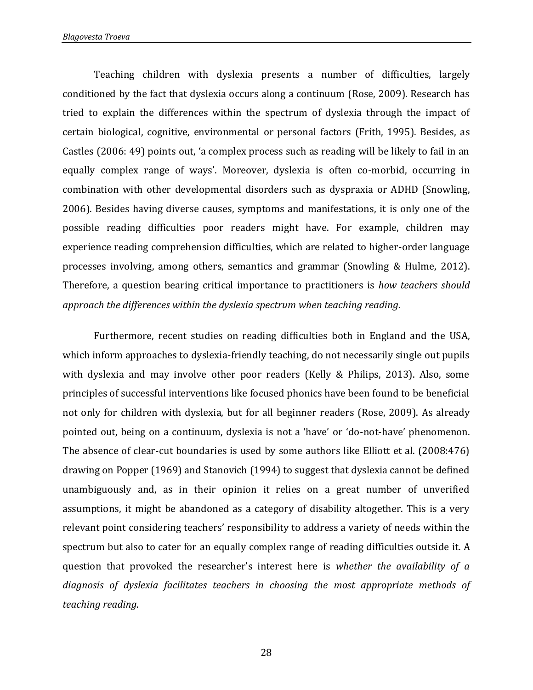Teaching children with dyslexia presents a number of difficulties, largely conditioned by the fact that dyslexia occurs along a continuum (Rose, 2009). Research has tried to explain the differences within the spectrum of dyslexia through the impact of certain biological, cognitive, environmental or personal factors (Frith, 1995). Besides, as Castles (2006: 49) points out, 'a complex process such as reading will be likely to fail in an equally complex range of ways'. Moreover, dyslexia is often co-morbid, occurring in combination with other developmental disorders such as dyspraxia or ADHD (Snowling, 2006). Besides having diverse causes, symptoms and manifestations, it is only one of the possible reading difficulties poor readers might have. For example, children may experience reading comprehension difficulties, which are related to higher-order language processes involving, among others, semantics and grammar (Snowling & Hulme, 2012). Therefore, a question bearing critical importance to practitioners is *how teachers should approach the differences within the dyslexia spectrum when teaching reading.*

Furthermore, recent studies on reading difficulties both in England and the USA, which inform approaches to dyslexia-friendly teaching, do not necessarily single out pupils with dyslexia and may involve other poor readers (Kelly & Philips, 2013). Also, some principles of successful interventions like focused phonics have been found to be beneficial not only for children with dyslexia, but for all beginner readers (Rose, 2009). As already pointed out, being on a continuum, dyslexia is not a 'have' or 'do-not-have' phenomenon. The absence of clear-cut boundaries is used by some authors like Elliott et al. (2008:476) drawing on Popper (1969) and Stanovich (1994) to suggest that dyslexia cannot be defined unambiguously and, as in their opinion it relies on a great number of unverified assumptions, it might be abandoned as a category of disability altogether. This is a very relevant point considering teachers' responsibility to address a variety of needs within the spectrum but also to cater for an equally complex range of reading difficulties outside it. A question that provoked the researcher's interest here is *whether the availability of a diagnosis of dyslexia facilitates teachers in choosing the most appropriate methods of teaching reading.*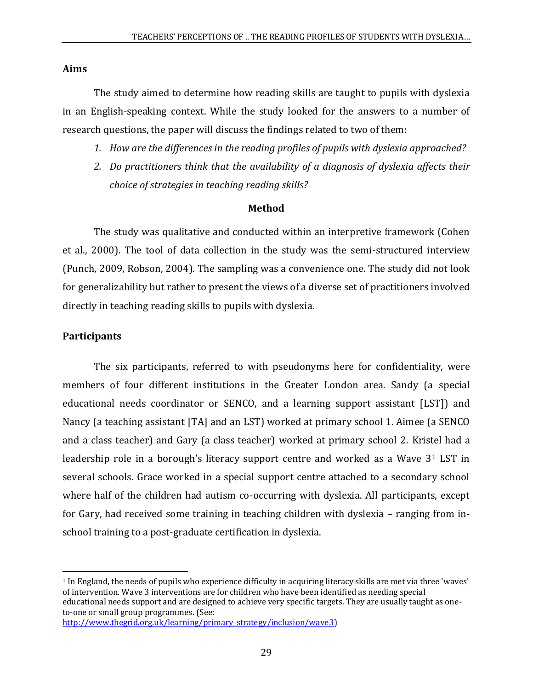## **Aims**

The study aimed to determine how reading skills are taught to pupils with dyslexia in an English-speaking context. While the study looked for the answers to a number of research questions, the paper will discuss the findings related to two of them:

- *1. How are the differences in the reading profiles of pupils with dyslexia approached?*
- *2. Do practitioners think that the availability of a diagnosis of dyslexia affects their choice of strategies in teaching reading skills?*

## **Method**

The study was qualitative and conducted within an interpretive framework (Cohen et al., 2000). The tool of data collection in the study was the semi-structured interview (Punch, 2009, Robson, 2004). The sampling was a convenience one. The study did not look for generalizability but rather to present the views of a diverse set of practitioners involved directly in teaching reading skills to pupils with dyslexia.

## **Participants**

 $\overline{a}$ 

The six participants, referred to with pseudonyms here for confidentiality, were members of four different institutions in the Greater London area. Sandy (a special educational needs coordinator or SENCO, and a learning support assistant [LST]) and Nancy (a teaching assistant [TA] and an LST) worked at primary school 1. Aimee (a SENCO and a class teacher) and Gary (a class teacher) worked at primary school 2. Kristel had a leadership role in a borough's literacy support centre and worked as a Wave 3<sup>1</sup> LST in several schools. Grace worked in a special support centre attached to a secondary school where half of the children had autism co-occurring with dyslexia. All participants, except for Gary, had received some training in teaching children with dyslexia – ranging from inschool training to a post-graduate certification in dyslexia.

<sup>1</sup> In England, the needs of pupils who experience difficulty in acquiring literacy skills are met via three 'waves' of intervention. Wave 3 interventions are for children who have been identified as needing special educational needs support and are designed to achieve very specific targets. They are usually taught as oneto-one or small group programmes. (See:

[http://www.thegrid.org.uk/learning/primary\\_strategy/inclusion/wave3\)](http://www.thegrid.org.uk/learning/primary_strategy/inclusion/wave3)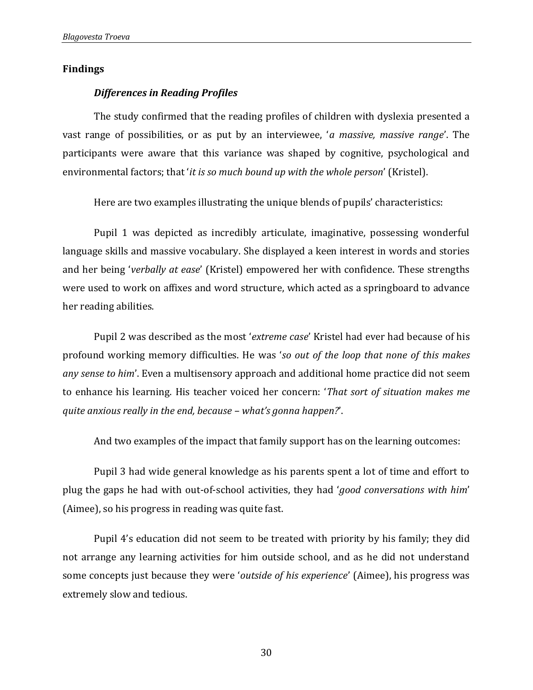#### **Findings**

#### *Differences in Reading Profiles*

The study confirmed that the reading profiles of children with dyslexia presented a vast range of possibilities, or as put by an interviewee, '*a massive, massive range*'. The participants were aware that this variance was shaped by cognitive, psychological and environmental factors; that '*it is so much bound up with the whole person*' (Kristel).

Here are two examples illustrating the unique blends of pupils' characteristics:

Pupil 1 was depicted as incredibly articulate, imaginative, possessing wonderful language skills and massive vocabulary. She displayed a keen interest in words and stories and her being '*verbally at ease*' (Kristel) empowered her with confidence. These strengths were used to work on affixes and word structure, which acted as a springboard to advance her reading abilities.

Pupil 2 was described as the most '*extreme case*' Kristel had ever had because of his profound working memory difficulties. He was '*so out of the loop that none of this makes any sense to him*'. Even a multisensory approach and additional home practice did not seem to enhance his learning. His teacher voiced her concern: '*That sort of situation makes me quite anxious really in the end, because – what's gonna happen?*'.

And two examples of the impact that family support has on the learning outcomes:

Pupil 3 had wide general knowledge as his parents spent a lot of time and effort to plug the gaps he had with out-of-school activities, they had '*good conversations with him*' (Aimee), so his progress in reading was quite fast.

Pupil 4's education did not seem to be treated with priority by his family; they did not arrange any learning activities for him outside school, and as he did not understand some concepts just because they were '*outside of his experience*' (Aimee), his progress was extremely slow and tedious.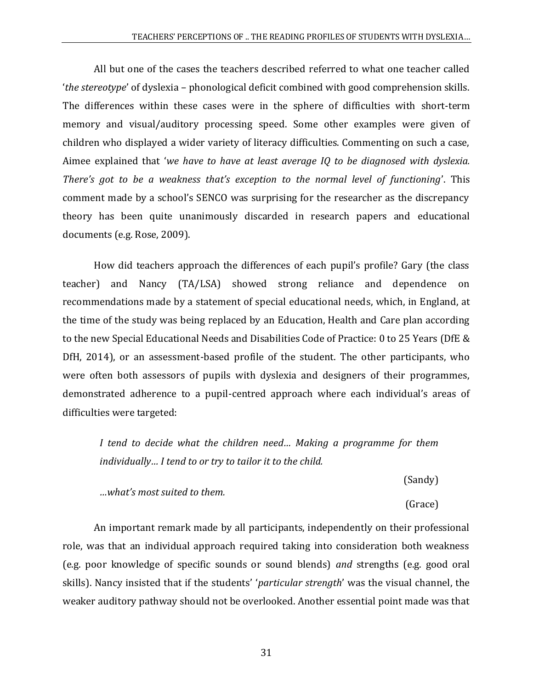All but one of the cases the teachers described referred to what one teacher called '*the stereotype*' of dyslexia – phonological deficit combined with good comprehension skills. The differences within these cases were in the sphere of difficulties with short-term memory and visual/auditory processing speed. Some other examples were given of children who displayed a wider variety of literacy difficulties. Commenting on such a case, Aimee explained that '*we have to have at least average IQ to be diagnosed with dyslexia. There's got to be a weakness that's exception to the normal level of functioning*'. This comment made by a school's SENCO was surprising for the researcher as the discrepancy theory has been quite unanimously discarded in research papers and educational documents (e.g. Rose, 2009).

How did teachers approach the differences of each pupil's profile? Gary (the class teacher) and Nancy (TA/LSA) showed strong reliance and dependence on recommendations made by a statement of special educational needs, which, in England, at the time of the study was being replaced by an Education, Health and Care plan according to the new Special Educational Needs and Disabilities Code of Practice: 0 to 25 Years (DfE & DfH, 2014), or an assessment-based profile of the student. The other participants, who were often both assessors of pupils with dyslexia and designers of their programmes, demonstrated adherence to a pupil-centred approach where each individual's areas of difficulties were targeted:

*I tend to decide what the children need… Making a programme for them individually… I tend to or try to tailor it to the child.*

(Sandy) *…what's most suited to them.* (Grace)

An important remark made by all participants, independently on their professional role, was that an individual approach required taking into consideration both weakness (e.g. poor knowledge of specific sounds or sound blends) *and* strengths (e.g. good oral skills). Nancy insisted that if the students' '*particular strength*' was the visual channel, the weaker auditory pathway should not be overlooked. Another essential point made was that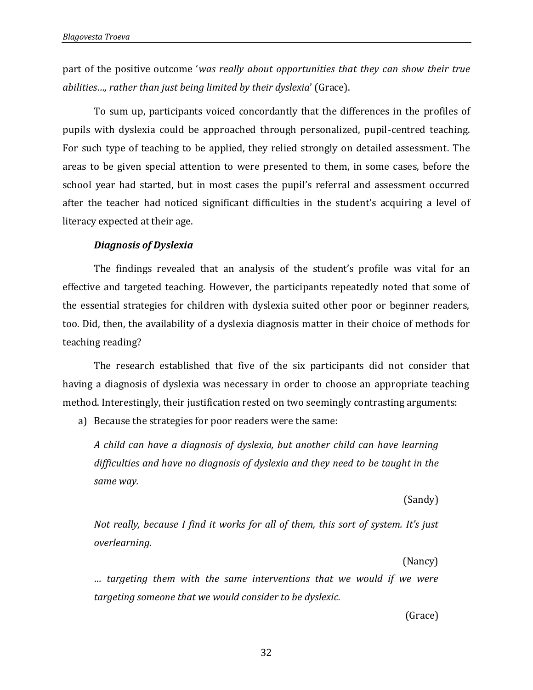part of the positive outcome '*was really about opportunities that they can show their true abilities…, rather than just being limited by their dyslexia*' (Grace).

To sum up, participants voiced concordantly that the differences in the profiles of pupils with dyslexia could be approached through personalized, pupil-centred teaching. For such type of teaching to be applied, they relied strongly on detailed assessment. The areas to be given special attention to were presented to them, in some cases, before the school year had started, but in most cases the pupil's referral and assessment occurred after the teacher had noticed significant difficulties in the student's acquiring a level of literacy expected at their age.

#### *Diagnosis of Dyslexia*

The findings revealed that an analysis of the student's profile was vital for an effective and targeted teaching. However, the participants repeatedly noted that some of the essential strategies for children with dyslexia suited other poor or beginner readers, too. Did, then, the availability of a dyslexia diagnosis matter in their choice of methods for teaching reading?

The research established that five of the six participants did not consider that having a diagnosis of dyslexia was necessary in order to choose an appropriate teaching method. Interestingly, their justification rested on two seemingly contrasting arguments:

a) Because the strategies for poor readers were the same:

*A child can have a diagnosis of dyslexia, but another child can have learning difficulties and have no diagnosis of dyslexia and they need to be taught in the same way.*

(Sandy)

*Not really, because I find it works for all of them, this sort of system. It's just overlearning.*

(Nancy)

*… targeting them with the same interventions that we would if we were targeting someone that we would consider to be dyslexic.*

(Grace)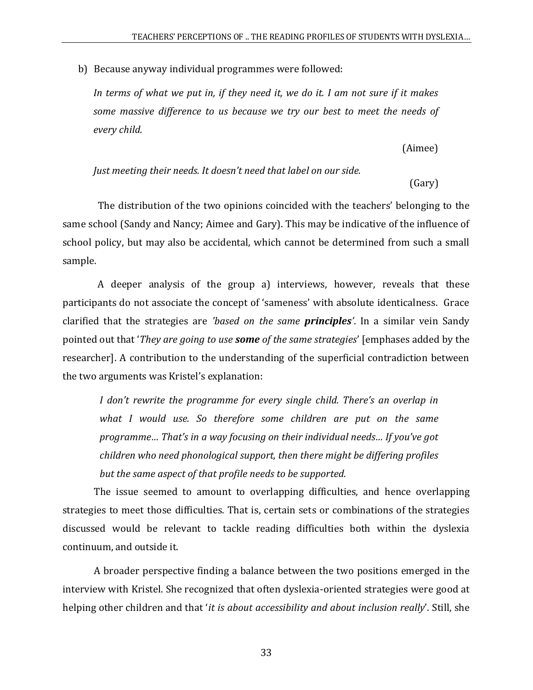b) Because anyway individual programmes were followed:

*In terms of what we put in, if they need it, we do it. I am not sure if it makes some massive difference to us because we try our best to meet the needs of every child.*

(Aimee)

```
Just meeting their needs. It doesn't need that label on our side.
```
(Gary)

The distribution of the two opinions coincided with the teachers' belonging to the same school (Sandy and Nancy; Aimee and Gary). This may be indicative of the influence of school policy, but may also be accidental, which cannot be determined from such a small sample.

A deeper analysis of the group a) interviews, however, reveals that these participants do not associate the concept of 'sameness' with absolute identicalness. Grace clarified that the strategies are *'based on the same principles'*. In a similar vein Sandy pointed out that '*They are going to use some of the same strategies*' [emphases added by the researcher]. A contribution to the understanding of the superficial contradiction between the two arguments was Kristel's explanation:

*I don't rewrite the programme for every single child. There's an overlap in what I would use. So therefore some children are put on the same programme… That's in a way focusing on their individual needs… If you've got children who need phonological support, then there might be differing profiles but the same aspect of that profile needs to be supported.*

The issue seemed to amount to overlapping difficulties, and hence overlapping strategies to meet those difficulties. That is, certain sets or combinations of the strategies discussed would be relevant to tackle reading difficulties both within the dyslexia continuum, and outside it.

A broader perspective finding a balance between the two positions emerged in the interview with Kristel. She recognized that often dyslexia-oriented strategies were good at helping other children and that '*it is about accessibility and about inclusion really*'. Still, she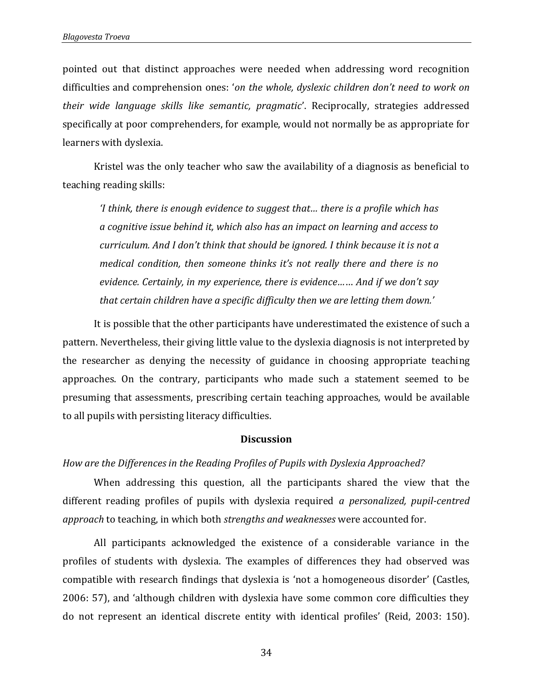pointed out that distinct approaches were needed when addressing word recognition difficulties and comprehension ones: '*on the whole, dyslexic children don't need to work on their wide language skills like semantic, pragmatic*'. Reciprocally, strategies addressed specifically at poor comprehenders, for example, would not normally be as appropriate for learners with dyslexia.

Kristel was the only teacher who saw the availability of a diagnosis as beneficial to teaching reading skills:

*'I think, there is enough evidence to suggest that… there is a profile which has a cognitive issue behind it, which also has an impact on learning and access to curriculum. And I don't think that should be ignored. I think because it is not a medical condition, then someone thinks it's not really there and there is no evidence. Certainly, in my experience, there is evidence…*… *And if we don't say that certain children have a specific difficulty then we are letting them down.'* 

It is possible that the other participants have underestimated the existence of such a pattern. Nevertheless, their giving little value to the dyslexia diagnosis is not interpreted by the researcher as denying the necessity of guidance in choosing appropriate teaching approaches. On the contrary, participants who made such a statement seemed to be presuming that assessments, prescribing certain teaching approaches, would be available to all pupils with persisting literacy difficulties.

#### **Discussion**

#### *How are the Differences in the Reading Profiles of Pupils with Dyslexia Approached?*

When addressing this question, all the participants shared the view that the different reading profiles of pupils with dyslexia required *a personalized, pupil-centred approach* to teaching, in which both *strengths and weaknesses* were accounted for.

All participants acknowledged the existence of a considerable variance in the profiles of students with dyslexia. The examples of differences they had observed was compatible with research findings that dyslexia is 'not a homogeneous disorder' (Castles, 2006: 57), and 'although children with dyslexia have some common core difficulties they do not represent an identical discrete entity with identical profiles' (Reid, 2003: 150).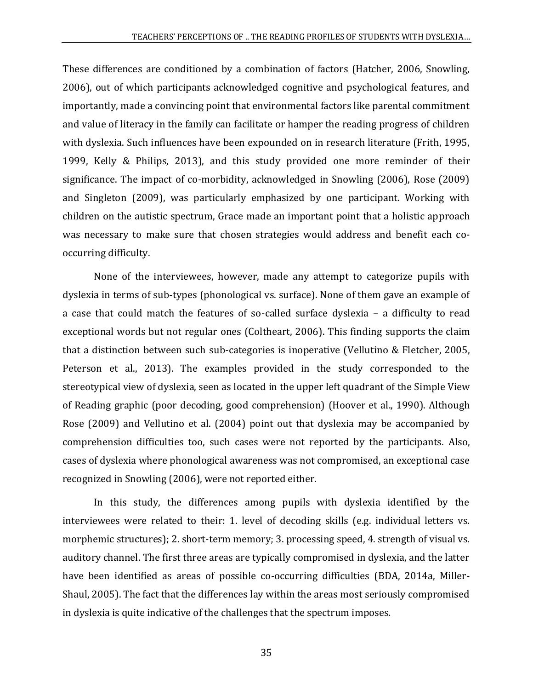These differences are conditioned by a combination of factors (Hatcher, 2006, Snowling, 2006), out of which participants acknowledged cognitive and psychological features, and importantly, made a convincing point that environmental factors like parental commitment and value of literacy in the family can facilitate or hamper the reading progress of children with dyslexia. Such influences have been expounded on in research literature (Frith, 1995, 1999, Kelly & Philips, 2013), and this study provided one more reminder of their significance. The impact of co-morbidity, acknowledged in Snowling (2006), Rose (2009) and Singleton (2009), was particularly emphasized by one participant. Working with children on the autistic spectrum, Grace made an important point that a holistic approach was necessary to make sure that chosen strategies would address and benefit each cooccurring difficulty.

None of the interviewees, however, made any attempt to categorize pupils with dyslexia in terms of sub-types (phonological vs. surface). None of them gave an example of a case that could match the features of so-called surface dyslexia – a difficulty to read exceptional words but not regular ones (Coltheart, 2006). This finding supports the claim that a distinction between such sub-categories is inoperative (Vellutino & Fletcher, 2005, Peterson et al., 2013). The examples provided in the study corresponded to the stereotypical view of dyslexia, seen as located in the upper left quadrant of the Simple View of Reading graphic (poor decoding, good comprehension) (Hoover et al., 1990). Although Rose (2009) and Vellutino et al. (2004) point out that dyslexia may be accompanied by comprehension difficulties too, such cases were not reported by the participants. Also, cases of dyslexia where phonological awareness was not compromised, an exceptional case recognized in Snowling (2006), were not reported either.

In this study, the differences among pupils with dyslexia identified by the interviewees were related to their: 1. level of decoding skills (e.g. individual letters vs. morphemic structures); 2. short-term memory; 3. processing speed, 4. strength of visual vs. auditory channel. The first three areas are typically compromised in dyslexia, and the latter have been identified as areas of possible co-occurring difficulties (BDA, 2014a, Miller-Shaul, 2005). The fact that the differences lay within the areas most seriously compromised in dyslexia is quite indicative of the challenges that the spectrum imposes.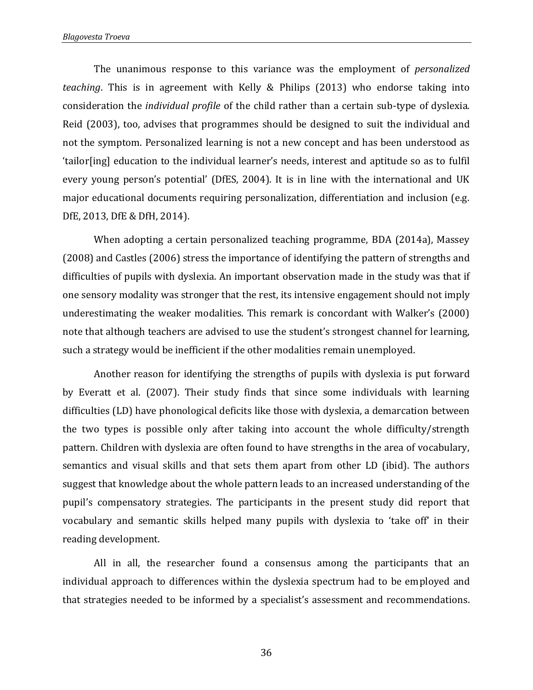The unanimous response to this variance was the employment of *personalized teaching*. This is in agreement with Kelly & Philips (2013) who endorse taking into consideration the *individual profile* of the child rather than a certain sub-type of dyslexia. Reid (2003), too, advises that programmes should be designed to suit the individual and not the symptom. Personalized learning is not a new concept and has been understood as 'tailor[ing] education to the individual learner's needs, interest and aptitude so as to fulfil every young person's potential' (DfES, 2004). It is in line with the international and UK major educational documents requiring personalization, differentiation and inclusion (e.g. DfE, 2013, DfE & DfH, 2014).

When adopting a certain personalized teaching programme, BDA (2014a), Massey (2008) and Castles (2006) stress the importance of identifying the pattern of strengths and difficulties of pupils with dyslexia. An important observation made in the study was that if one sensory modality was stronger that the rest, its intensive engagement should not imply underestimating the weaker modalities. This remark is concordant with Walker's (2000) note that although teachers are advised to use the student's strongest channel for learning, such a strategy would be inefficient if the other modalities remain unemployed.

Another reason for identifying the strengths of pupils with dyslexia is put forward by Everatt et al. (2007). Their study finds that since some individuals with learning difficulties (LD) have phonological deficits like those with dyslexia, a demarcation between the two types is possible only after taking into account the whole difficulty/strength pattern. Children with dyslexia are often found to have strengths in the area of vocabulary, semantics and visual skills and that sets them apart from other LD (ibid). The authors suggest that knowledge about the whole pattern leads to an increased understanding of the pupil's compensatory strategies. The participants in the present study did report that vocabulary and semantic skills helped many pupils with dyslexia to 'take off' in their reading development.

All in all, the researcher found a consensus among the participants that an individual approach to differences within the dyslexia spectrum had to be employed and that strategies needed to be informed by a specialist's assessment and recommendations.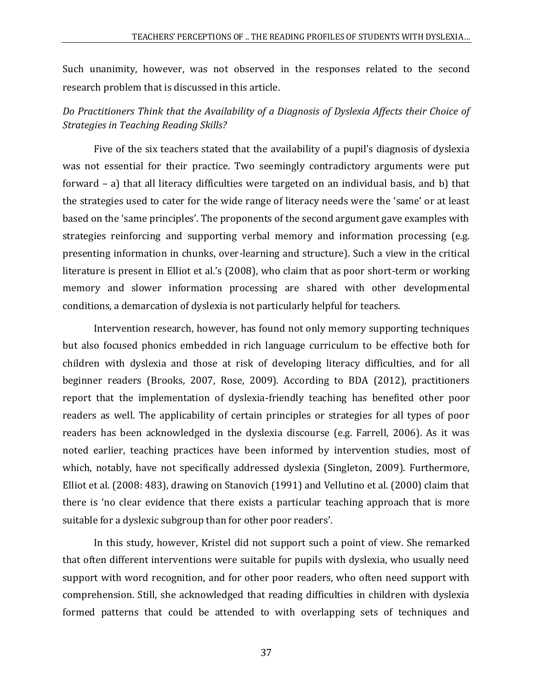Such unanimity, however, was not observed in the responses related to the second research problem that is discussed in this article.

# *Do Practitioners Think that the Availability of a Diagnosis of Dyslexia Affects their Choice of Strategies in Teaching Reading Skills?*

Five of the six teachers stated that the availability of a pupil's diagnosis of dyslexia was not essential for their practice. Two seemingly contradictory arguments were put forward – a) that all literacy difficulties were targeted on an individual basis, and b) that the strategies used to cater for the wide range of literacy needs were the 'same' or at least based on the 'same principles'. The proponents of the second argument gave examples with strategies reinforcing and supporting verbal memory and information processing (e.g. presenting information in chunks, over-learning and structure). Such a view in the critical literature is present in Elliot et al.'s (2008), who claim that as poor short-term or working memory and slower information processing are shared with other developmental conditions, a demarcation of dyslexia is not particularly helpful for teachers.

Intervention research, however, has found not only memory supporting techniques but also focused phonics embedded in rich language curriculum to be effective both for children with dyslexia and those at risk of developing literacy difficulties, and for all beginner readers (Brooks, 2007, Rose, 2009). According to BDA (2012), practitioners report that the implementation of dyslexia-friendly teaching has benefited other poor readers as well. The applicability of certain principles or strategies for all types of poor readers has been acknowledged in the dyslexia discourse (e.g. Farrell, 2006). As it was noted earlier, teaching practices have been informed by intervention studies, most of which, notably, have not specifically addressed dyslexia (Singleton, 2009). Furthermore, Elliot et al. (2008: 483), drawing on Stanovich (1991) and Vellutino et al. (2000) claim that there is 'no clear evidence that there exists a particular teaching approach that is more suitable for a dyslexic subgroup than for other poor readers'.

In this study, however, Kristel did not support such a point of view. She remarked that often different interventions were suitable for pupils with dyslexia, who usually need support with word recognition, and for other poor readers, who often need support with comprehension. Still, she acknowledged that reading difficulties in children with dyslexia formed patterns that could be attended to with overlapping sets of techniques and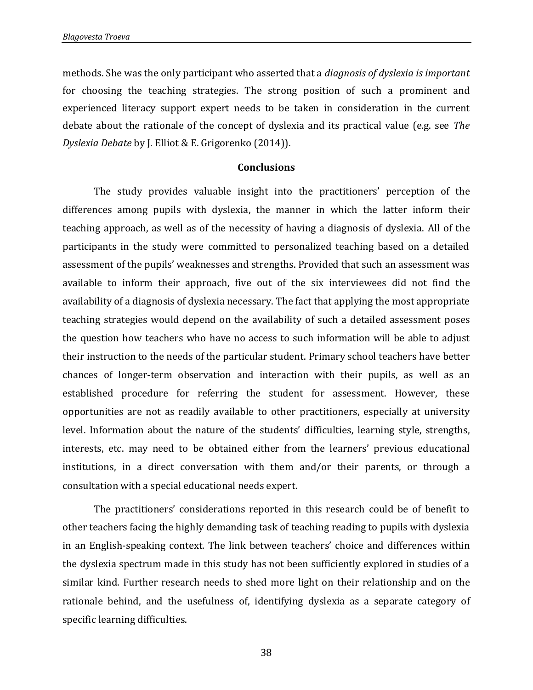methods. She was the only participant who asserted that a *diagnosis of dyslexia is important* for choosing the teaching strategies. The strong position of such a prominent and experienced literacy support expert needs to be taken in consideration in the current debate about the rationale of the concept of dyslexia and its practical value (e.g. see *The Dyslexia Debate* by J. Elliot & E. Grigorenko (2014)).

#### **Conclusions**

The study provides valuable insight into the practitioners' perception of the differences among pupils with dyslexia, the manner in which the latter inform their teaching approach, as well as of the necessity of having a diagnosis of dyslexia. All of the participants in the study were committed to personalized teaching based on a detailed assessment of the pupils' weaknesses and strengths. Provided that such an assessment was available to inform their approach, five out of the six interviewees did not find the availability of a diagnosis of dyslexia necessary. The fact that applying the most appropriate teaching strategies would depend on the availability of such a detailed assessment poses the question how teachers who have no access to such information will be able to adjust their instruction to the needs of the particular student. Primary school teachers have better chances of longer-term observation and interaction with their pupils, as well as an established procedure for referring the student for assessment. However, these opportunities are not as readily available to other practitioners, especially at university level. Information about the nature of the students' difficulties, learning style, strengths, interests, etc. may need to be obtained either from the learners' previous educational institutions, in a direct conversation with them and/or their parents, or through a consultation with a special educational needs expert.

The practitioners' considerations reported in this research could be of benefit to other teachers facing the highly demanding task of teaching reading to pupils with dyslexia in an English-speaking context. The link between teachers' choice and differences within the dyslexia spectrum made in this study has not been sufficiently explored in studies of a similar kind. Further research needs to shed more light on their relationship and on the rationale behind, and the usefulness of, identifying dyslexia as a separate category of specific learning difficulties.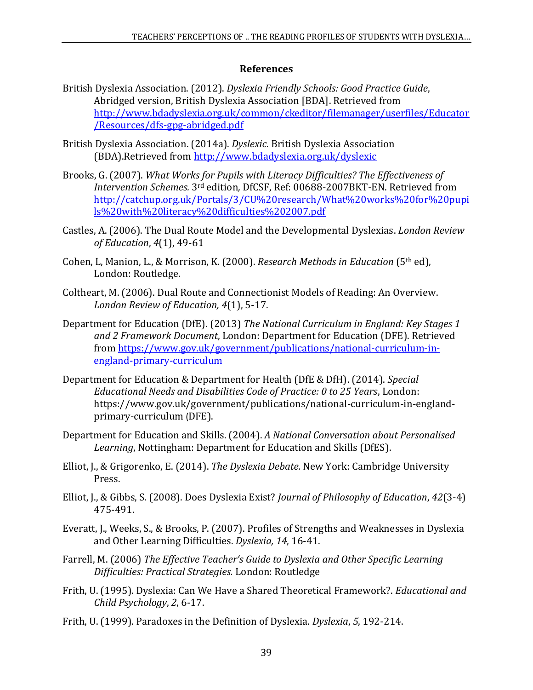# **References**

- British Dyslexia Association. (2012). *Dyslexia Friendly Schools: Good Practice Guide*, Abridged version, British Dyslexia Association [BDA]. Retrieved from [http://www.bdadyslexia.org.uk/common/ckeditor/filemanager/userfiles/Educator](http://www.bdadyslexia.org.uk/common/ckeditor/filemanager/userfiles/Educator/Resources/dfs-gpg-abridged.pdf) [/Resources/dfs-gpg-abridged.pdf](http://www.bdadyslexia.org.uk/common/ckeditor/filemanager/userfiles/Educator/Resources/dfs-gpg-abridged.pdf)
- British Dyslexia Association. (2014a). *Dyslexic.* British Dyslexia Association (BDA).Retrieved from <http://www.bdadyslexia.org.uk/dyslexic>
- Brooks, G. (2007). *What Works for Pupils with Literacy Difficulties? The Effectiveness of Intervention Schemes.* 3rd edition*,* DfCSF, Ref: 00688-2007BKT-EN. Retrieved from [http://catchup.org.uk/Portals/3/CU%20research/What%20works%20for%20pupi](http://catchup.org.uk/Portals/3/CU%20research/What%20works%20for%20pupils%20with%20literacy%20difficulties%202007.pdf) [ls%20with%20literacy%20difficulties%202007.pdf](http://catchup.org.uk/Portals/3/CU%20research/What%20works%20for%20pupils%20with%20literacy%20difficulties%202007.pdf)
- Castles, A. (2006). The Dual Route Model and the Developmental Dyslexias. *London Review of Education*, *4*(1), 49-61
- Cohen, L, Manion, L., & Morrison, K. (2000). *Research Methods in Education* (5th ed), London: Routledge.
- Coltheart, M. (2006). Dual Route and Connectionist Models of Reading: An Overview. *London Review of Education, 4*(1), 5-17.
- Department for Education (DfE). (2013) *The National Curriculum in England: Key Stages 1 and 2 Framework Document*, London: Department for Education (DFE). Retrieved from [https://www.gov.uk/government/publications/national-curriculum-in](https://www.gov.uk/government/publications/national-curriculum-in-england-primary-curriculum)[england-primary-curriculum](https://www.gov.uk/government/publications/national-curriculum-in-england-primary-curriculum)
- Department for Education & Department for Health (DfE & DfH). (2014). *Special Educational Needs and Disabilities Code of Practice: 0 to 25 Years*, London: [https://www.gov.uk/government/publications/national-curriculum-in-england](https://www.gov.uk/government/publications/national-curriculum-in-england-primary-curriculum)[primary-curriculum](https://www.gov.uk/government/publications/national-curriculum-in-england-primary-curriculum) (DFE).
- Department for Education and Skills. (2004). *A National Conversation about Personalised Learning*, Nottingham: Department for Education and Skills (DfES).
- Elliot, J., & Grigorenko, E. (2014). *The Dyslexia Debate.* New York: Cambridge University Press.
- Elliot, J., & Gibbs, S. (2008). Does Dyslexia Exist? *Journal of Philosophy of Education*, *42*(3-4) 475-491.
- Everatt, J., Weeks, S., & Brooks, P. (2007). Profiles of Strengths and Weaknesses in Dyslexia and Other Learning Difficulties. *Dyslexia, 14*, 16-41.
- Farrell, M. (2006) *The Effective Teacher's Guide to Dyslexia and Other Specific Learning Difficulties: Practical Strategies.* London: Routledge
- Frith, U. (1995). Dyslexia: Can We Have a Shared Theoretical Framework?. *Educational and Child Psychology*, *2*, 6-17.
- Frith, U. (1999). Paradoxes in the Definition of Dyslexia. *Dyslexia*, *5*, 192-214.